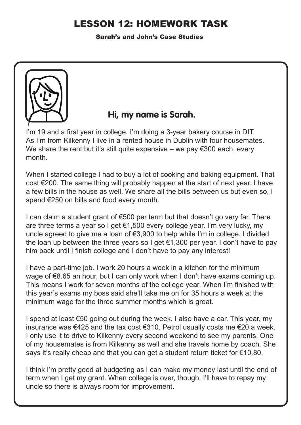## LESSON 12: HOMEWORK TASK

Sarah's and John's Case Studies



## **Hi, my name is Sarah.**

I'm 19 and a first year in college. I'm doing a 3-year bakery course in DIT. As I'm from Kilkenny I live in a rented house in Dublin with four housemates. We share the rent but it's still quite expensive – we pay  $\epsilon$ 300 each, every month.

When I started college I had to buy a lot of cooking and baking equipment. That cost €200. The same thing will probably happen at the start of next year. I have a few bills in the house as well. We share all the bills between us but even so, I spend €250 on bills and food every month.

I can claim a student grant of  $\epsilon$ 500 per term but that doesn't go very far. There are three terms a year so I get €1,500 every college year. I'm very lucky, my uncle agreed to give me a loan of €3,900 to help while I'm in college. I divided the loan up between the three years so I get  $\epsilon$ 1,300 per year. I don't have to pay him back until I finish college and I don't have to pay any interest!

I have a part-time job. I work 20 hours a week in a kitchen for the minimum wage of €8.65 an hour, but I can only work when I don't have exams coming up. This means I work for seven months of the college year. When I'm finished with this year's exams my boss said she'll take me on for 35 hours a week at the minimum wage for the three summer months which is great.

I spend at least €50 going out during the week. I also have a car. This year, my insurance was €425 and the tax cost €310. Petrol usually costs me €20 a week. I only use it to drive to Kilkenny every second weekend to see my parents. One of my housemates is from Kilkenny as well and she travels home by coach. She says it's really cheap and that you can get a student return ticket for €10.80.

I think I'm pretty good at budgeting as I can make my money last until the end of term when I get my grant. When college is over, though, I'll have to repay my uncle so there is always room for improvement.